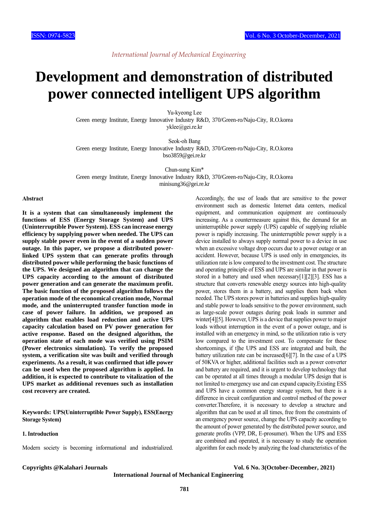# **Development and demonstration of distributed power connected intelligent UPS algorithm**

Yu-kyeong Lee Green energy Institute, Energy Innovative Industry R&D, 370/Green-ro/Naju-City, R.O.korea yklee@gei.re.kr

Seok-oh Bang Green energy Institute, Energy Innovative Industry R&D, 370/Green-ro/Naju-City, R.O.korea bso3859@gei.re.kr

Chun-sung Kim\* Green energy Institute, Energy Innovative Industry R&D, 370/Green-ro/Naju-City, R.O.korea minisung36@gei.re.kr

#### **Abstract**

**It is a system that can simultaneously implement the functions of ESS (Energy Storage System) and UPS (Uninterruptible Power System). ESS can increase energy efficiency by supplying power when needed. The UPS can supply stable power even in the event of a sudden power outage. In this paper, we propose a distributed powerlinked UPS system that can generate profits through distributed power while performing the basic functions of the UPS. We designed an algorithm that can change the UPS capacity according to the amount of distributed power generation and can generate the maximum profit. The basic function of the proposed algorithm follows the operation mode of the economical creation mode, Normal mode, and the uninterrupted transfer function mode in case of power failure. In addition, we proposed an algorithm that enables load reduction and active UPS capacity calculation based on PV power generation for active response. Based on the designed algorithm, the operation state of each mode was verified using PSIM (Power electronics simulation). To verify the proposed system, a verification site was built and verified through experiments. As a result, it was confirmed that idle power can be used when the proposed algorithm is applied. In addition, it is expected to contribute to vitalization of the UPS market as additional revenues such as installation cost recovery are created.**

**Keywords: UPS(Uninterruptible Power Supply), ESS(Energy Storage System)**

### **1. Introduction**

Modern society is becoming informational and industrialized.

Accordingly, the use of loads that are sensitive to the power environment such as domestic Internet data centers, medical equipment, and communication equipment are continuously increasing. As a countermeasure against this, the demand for an uninterruptible power supply (UPS) capable of supplying reliable power is rapidly increasing. The uninterruptible power supply is a device installed to always supply normal power to a device in use when an excessive voltage drop occurs due to a power outage or an accident. However, because UPS is used only in emergencies, its utilization rate is low compared to the investment cost. The structure and operating principle of ESS and UPS are similar in that power is stored in a battery and used when necessary[1][2][3]. ESS has a structure that converts renewable energy sources into high-quality power, stores them in a battery, and supplies them back when needed. The UPS stores power in batteries and supplies high-quality and stable power to loads sensitive to the power environment, such as large-scale power outages during peak loads in summer and winter[4][5]. However, UPS is a device that supplies power to major loads without interruption in the event of a power outage, and is installed with an emergency in mind, so the utilization ratio is very low compared to the investment cost. To compensate for these shortcomings, if t]he UPS and ESS are integrated and built, the battery utilization rate can be increased[6][7]. In the case of a UPS of 50KVA or higher, additional facilities such as a power converter and battery are required, and it is urgent to develop technology that can be operated at all times through a modular UPS design that is not limited to emergency use and can expand capacity.Existing ESS and UPS have a common energy storage system, but there is a difference in circuit configuration and control method of the power converter.Therefore, it is necessary to develop a structure and algorithm that can be used at all times, free from the constraints of an emergency power source, change the UPS capacity according to the amount of power generated by the distributed power source, and generate profits (VPP, DR, E-prosumer). When the UPS and ESS are combined and operated, it is necessary to study the operation algorithm for each mode by analyzing the load characteristics of the

**Copyrights @Kalahari Journals Vol. 6 No. 3(October-December, 2021)**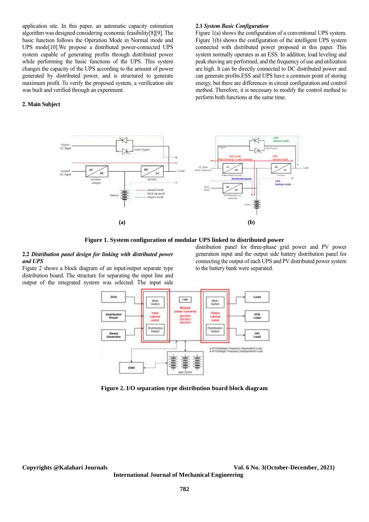application site. In this paper, an automatic capacity estimation algorithm was designed considering economic feasibility[8][9]. The basic function follows the Operation Mode in Normal mode and UPS mode[10].We propose a distributed power-connected UPS system capable of generating profits through distributed power while performing the basic functions of the UPS. This system changes the capacity of the UPS according to the amount of power generated by distributed power, and is structured to generate maximum profit. To verify the proposed system, a verification site was built and verified through an experiment.

# **2. Main Subject**

#### **2.1** *System Basic Configuration*

Figure 1(a) shows the configuration of a conventional UPS system. Figure 1(b) shows the configuration of the intelligent UPS system connected with distributed power proposed in this paper. This system normally operates as an ESS. In addition, load leveling and peak shaving are performed, and the frequency of use and utilization are high. It can be directly connected to DC distributed power and can generate profits.ESS and UPS have a common point of storing energy, but there are differences in circuit configuration and control method. Therefore, it is necessary to modify the control method to perform both functions at the same time.



**Figure 1. System configuration of modular UPS linked to distributed power**

# **2.2** *Distribution panel design for linking with distributed power and UPS*

Figure 2 shows a block diagram of an input/output separate type distribution board. The structure for separating the input line and output of the integrated system was selected. The input side

distribution panel for three-phase grid power and PV power generation input and the output side battery distribution panel for connecting the output of each UPS and PV distributed power system to the battery bank were separated.



**Figure 2. I/O separation type distribution board block diagram**

**Copyrights @Kalahari Journals Vol. 6 No. 3(October-December, 2021)**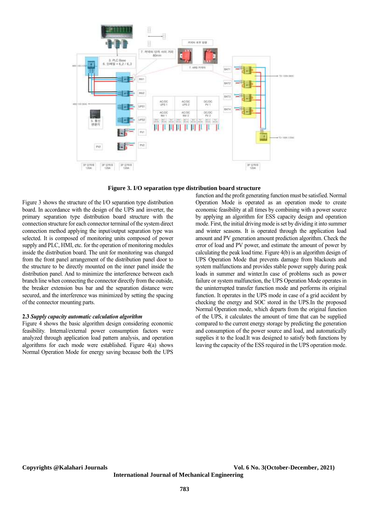

**Figure 3. I/O separation type distribution board structure**

Figure 3 shows the structure of the I/O separation type distribution board. In accordance with the design of the UPS and inverter, the primary separation type distribution board structure with the connection structure for each connector terminal of the system direct connection method applying the input/output separation type was selected. It is composed of monitoring units composed of power supply and PLC, HMI, etc. for the operation of monitoring modules inside the distribution board. The unit for monitoring was changed from the front panel arrangement of the distribution panel door to the structure to be directly mounted on the inner panel inside the distribution panel. And to minimize the interference between each branch line when connecting the connector directly from the outside, the breaker extension bus bar and the separation distance were secured, and the interference was minimized by setting the spacing of the connector mounting parts.

### **2.3** *Supply capacity automatic calculation algorithm*

Figure 4 shows the basic algorithm design considering economic feasibility. Internal/external power consumption factors were analyzed through application load pattern analysis, and operation algorithms for each mode were established. Figure 4(a) shows Normal Operation Mode for energy saving because both the UPS

function and the profit generating function must be satisfied. Normal Operation Mode is operated as an operation mode to create economic feasibility at all times by combining with a power source by applying an algorithm for ESS capacity design and operation mode. First, the initial driving mode is set by dividing it into summer and winter seasons. It is operated through the application load amount and PV generation amount prediction algorithm. Check the error of load and PV power, and estimate the amount of power by calculating the peak load time. Figure 4(b) is an algorithm design of UPS Operation Mode that prevents damage from blackouts and system malfunctions and provides stable power supply during peak loads in summer and winter.In case of problems such as power failure or system malfunction, the UPS Operation Mode operates in the uninterrupted transfer function mode and performs its original function. It operates in the UPS mode in case of a grid accident by checking the energy and SOC stored in the UPS.In the proposed Normal Operation mode, which departs from the original function of the UPS, it calculates the amount of time that can be supplied compared to the current energy storage by predicting the generation and consumption of the power source and load, and automatically supplies it to the load.It was designed to satisfy both functions by leaving the capacity of the ESS required in the UPS operation mode.

**International Journal of Mechanical Engineering** 

**Copyrights @Kalahari Journals Vol. 6 No. 3(October-December, 2021)**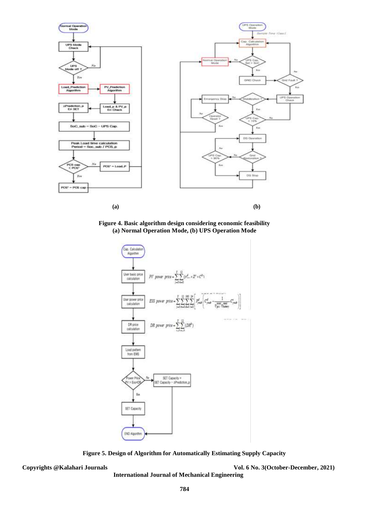

**Figure 4. Basic algorithm design considering economic feasibility (a) Normal Operation Mode, (b) UPS Operation Mode**



**Figure 5. Design of Algorithm for Automatically Estimating Supply Capacity**

**International Journal of Mechanical Engineering** 

**Copyrights @Kalahari Journals Vol. 6 No. 3(October-December, 2021)**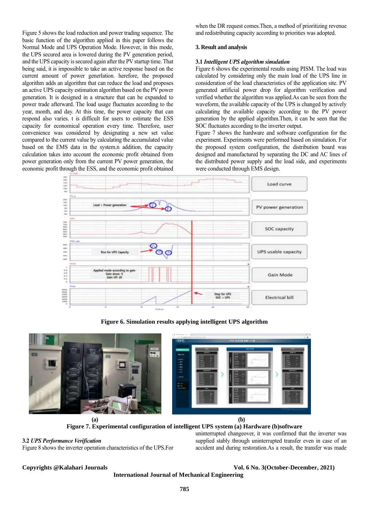Figure 5 shows the load reduction and power trading sequence. The basic function of the algorithm applied in this paper follows the Normal Mode and UPS Operation Mode. However, in this mode, the UPS secured area is lowered during the PV generation period, and the UPS capacity is secured again after the PV startup time. That being said, it is impossible to take an active response based on the current amount of power generlation. herefore, the proposed algorithm adds an algorithm that can reduce the load and proposes an active UPS capacity estimation algorithm based on the PV power generation. It is designed in a structure that can be expanded to power trade afterward. The load usage fluctuates according to the year, month, and day. At this time, the power capacity that can respond also varies. t is difficult for users to estimate the ESS capacity for economical operation every time. Therefore, user convenience was considered by designating a new set value compared to the current value by calculating the accumulated value based on the EMS data in the system.n addition, the capacity calculation takes into account the economic profit obtained from power generation only from the current PV power generation, the economic profit through the ESS, and the economic profit obtained when the DR request comes.Then, a method of prioritizing revenue and redistributing capacity according to priorities was adopted.

### **3. Result and analysis**

# **3.1** *Intelligent UPS algorithm simulation*

Figure 6 shows the experimental results using PISM. The load was calculated by considering only the main load of the UPS line in consideration of the load characteristics of the application site. PV generated artificial power drop for algorithm verification and verified whether the algorithm was applied.As can be seen from the waveform, the available capacity of the UPS is changed by actively calculating the available capacity according to the PV power generation by the applied algorithm.Then, it can be seen that the SOC fluctuates according to the inverter output.

Figure 7 shows the hardware and software configuration for the experiment. Experiments were performed based on simulation. For the proposed system configuration, the distribution board was designed and manufactured by separating the DC and AC lines of the distributed power supply and the load side, and experiments were conducted through EMS design.



**Figure 6. Simulation results applying intelligent UPS algorithm**



**Figure 7. Experimental configuration of intelligent UPS system (a) Hardware (b)software**

# **3.2** *UPS Performance Verification*

Figure 8 shows the inverter operation characteristics of the UPS.For

uninterrupted changeover, it was confirmed that the inverter was supplied stably through uninterrupted transfer even in case of an accident and during restoration.As a result, the transfer was made

**Copyrights @Kalahari Journals Vol. 6 No. 3(October-December, 2021)**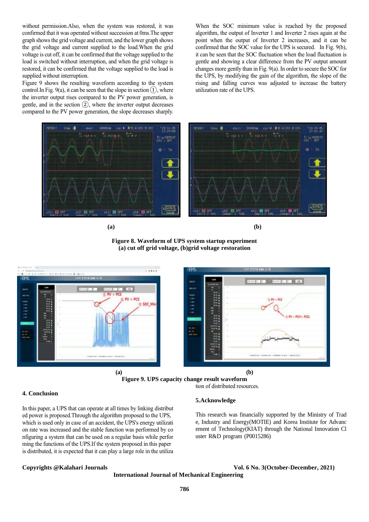without permission.Also, when the system was restored, it was confirmed that it was operated without succession at 0ms.The upper graph shows the grid voltage and current, and the lower graph shows the grid voltage and current supplied to the load.When the grid voltage is cut off, it can be confirmed that the voltage supplied to the load is switched without interruption, and when the grid voltage is restored, it can be confirmed that the voltage supplied to the load is supplied without interruption.

Figure 9 shows the resulting waveform according to the system control. In Fig. 9(a), it can be seen that the slope in section  $(1)$ , where the inverter output rises compared to the PV power generation, is gentle, and in the section  $(2)$ , where the inverter output decreases compared to the PV power generation, the slope decreases sharply.

When the SOC minimum value is reached by the proposed algorithm, the output of Inverter 1 and Inverter 2 rises again at the point when the output of Inverter 2 increases, and it can be confirmed that the SOC value for the UPS is secured. In Fig. 9(b), it can be seen that the SOC fluctuation when the load fluctuation is gentle and showing a clear difference from the PV output amount changes more gently than in Fig. 9(a). In order to secure the SOC for the UPS, by modifying the gain of the algorithm, the slope of the rising and falling curves was adjusted to increase the battery utilization rate of the UPS.



**Figure 8. Waveform of UPS system startup experiment (a) cut off grid voltage, (b)grid voltage restoration**



**Figure 9. UPS capacity change result waveform** tion of distributed resources.

### **4. Conclusion**

In this paper, a UPS that can operate at all times by linking distribut ed power is proposed.Through the algorithm proposed to the UPS, which is used only in case of an accident, the UPS's energy utilizati on rate was increased and the stable function was performed by co nfiguring a system that can be used on a regular basis while perfor ming the functions of the UPS.If the system proposed in this paper is distributed, it is expected that it can play a large role in the utiliza

# **5.Acknowledge**

This research was financially supported by the Ministry of Trad e, Industry and Energy(MOTIE) and Korea Institute for Advanc ement of Technology(KIAT) through the National Innovation Cl uster R&D program (P0015286)

#### **Copyrights @Kalahari Journals Vol. 6 No. 3(October-December, 2021)**